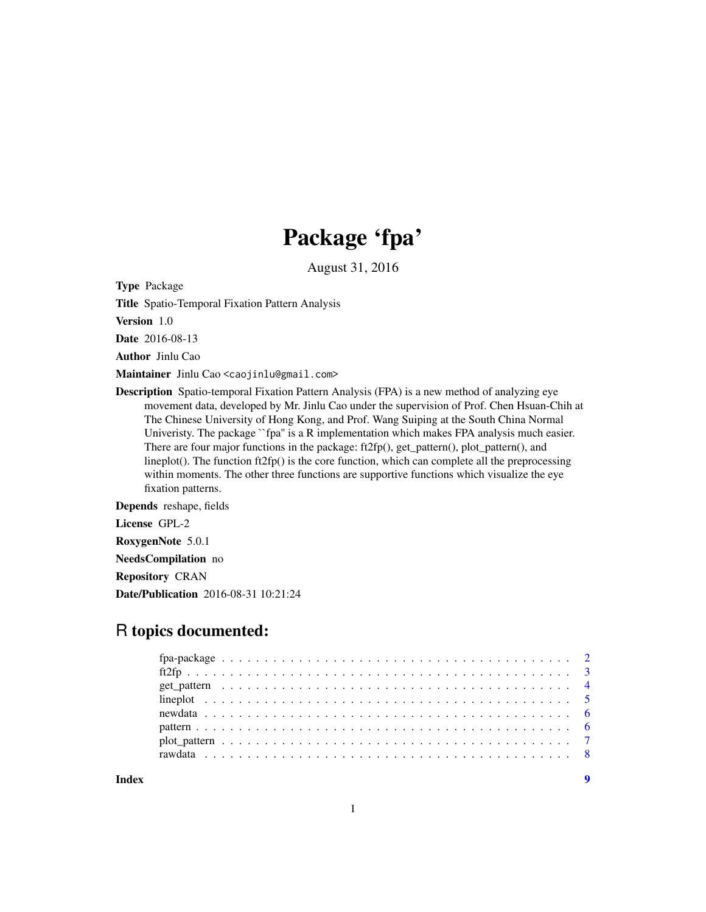# Package 'fpa'

August 31, 2016

Type Package

Title Spatio-Temporal Fixation Pattern Analysis

Version 1.0

Date 2016-08-13

Author Jinlu Cao

Maintainer Jinlu Cao <caojinlu@gmail.com>

Description Spatio-temporal Fixation Pattern Analysis (FPA) is a new method of analyzing eye movement data, developed by Mr. Jinlu Cao under the supervision of Prof. Chen Hsuan-Chih at The Chinese University of Hong Kong, and Prof. Wang Suiping at the South China Normal Univeristy. The package ``fpa'' is a R implementation which makes FPA analysis much easier. There are four major functions in the package: ft2fp(), get\_pattern(), plot\_pattern(), and lineplot(). The function ft2fp() is the core function, which can complete all the preprocessing within moments. The other three functions are supportive functions which visualize the eye fixation patterns.

Depends reshape, fields

License GPL-2

RoxygenNote 5.0.1

NeedsCompilation no

Repository CRAN

Date/Publication 2016-08-31 10:21:24

# R topics documented: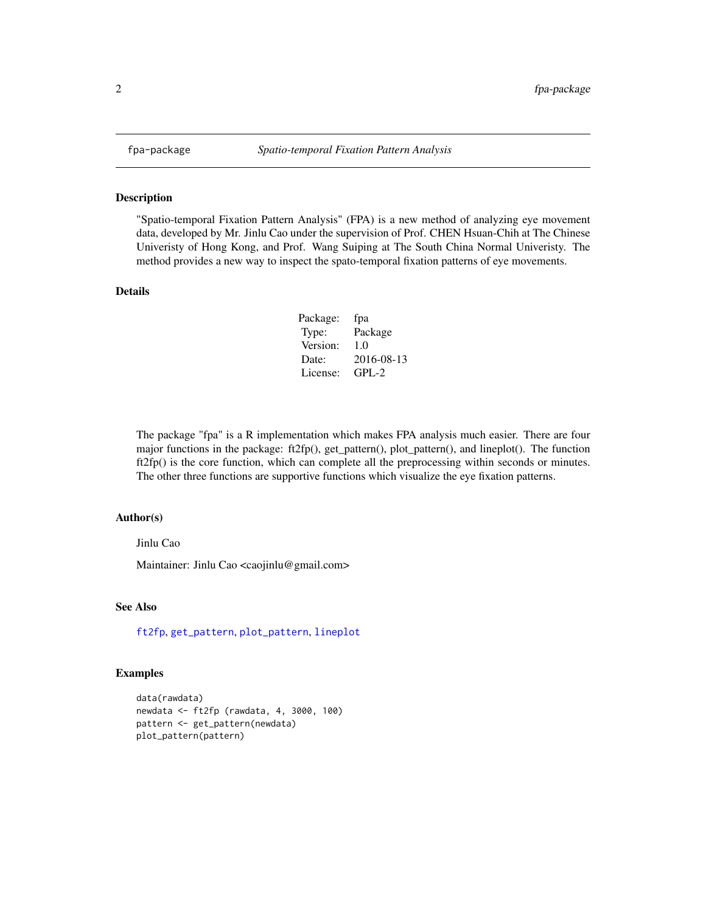"Spatio-temporal Fixation Pattern Analysis" (FPA) is a new method of analyzing eye movement data, developed by Mr. Jinlu Cao under the supervision of Prof. CHEN Hsuan-Chih at The Chinese Univeristy of Hong Kong, and Prof. Wang Suiping at The South China Normal Univeristy. The method provides a new way to inspect the spato-temporal fixation patterns of eye movements.

#### Details

| Package: | fpa        |
|----------|------------|
| Type:    | Package    |
| Version: | 1.0        |
| Date:    | 2016-08-13 |
| License: | $GPI - 2$  |

The package "fpa" is a R implementation which makes FPA analysis much easier. There are four major functions in the package: ft2fp(), get\_pattern(), plot\_pattern(), and lineplot(). The function ft2fp() is the core function, which can complete all the preprocessing within seconds or minutes. The other three functions are supportive functions which visualize the eye fixation patterns.

#### Author(s)

Jinlu Cao

Maintainer: Jinlu Cao <caojinlu@gmail.com>

#### See Also

[ft2fp](#page-2-1), [get\\_pattern](#page-3-1), [plot\\_pattern](#page-6-1), [lineplot](#page-4-1)

```
data(rawdata)
newdata <- ft2fp (rawdata, 4, 3000, 100)
pattern <- get_pattern(newdata)
plot_pattern(pattern)
```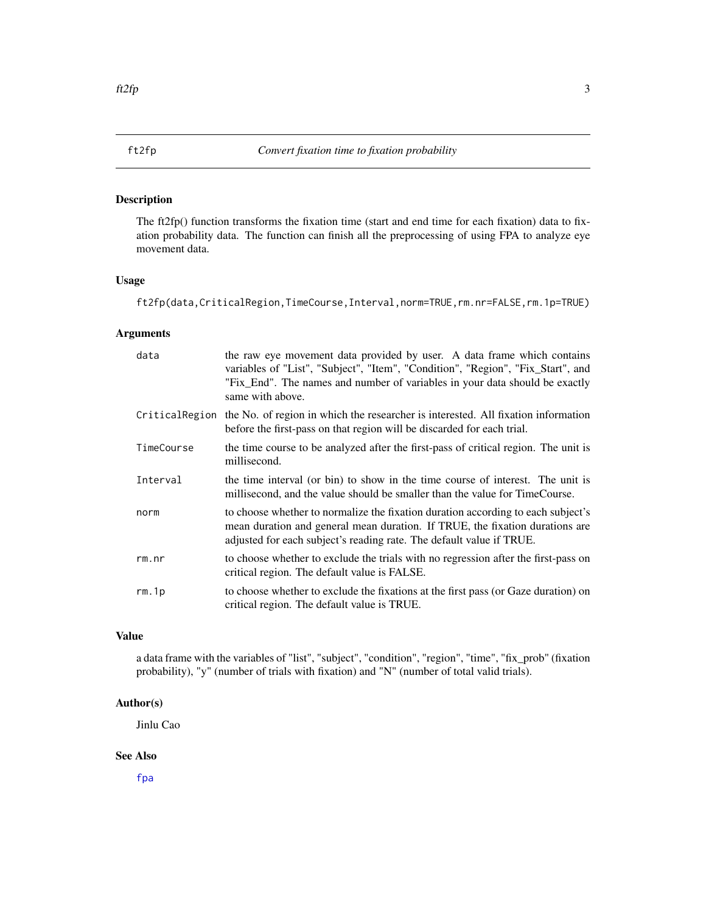<span id="page-2-1"></span><span id="page-2-0"></span>

The ft2fp() function transforms the fixation time (start and end time for each fixation) data to fixation probability data. The function can finish all the preprocessing of using FPA to analyze eye movement data.

#### Usage

ft2fp(data,CriticalRegion,TimeCourse,Interval,norm=TRUE,rm.nr=FALSE,rm.1p=TRUE)

#### Arguments

| data           | the raw eye movement data provided by user. A data frame which contains<br>variables of "List", "Subject", "Item", "Condition", "Region", "Fix_Start", and<br>"Fix_End". The names and number of variables in your data should be exactly<br>same with above. |
|----------------|---------------------------------------------------------------------------------------------------------------------------------------------------------------------------------------------------------------------------------------------------------------|
| CriticalRegion | the No. of region in which the researcher is interested. All fixation information<br>before the first-pass on that region will be discarded for each trial.                                                                                                   |
| TimeCourse     | the time course to be analyzed after the first-pass of critical region. The unit is<br>millisecond.                                                                                                                                                           |
| Interval       | the time interval (or bin) to show in the time course of interest. The unit is<br>millisecond, and the value should be smaller than the value for TimeCourse.                                                                                                 |
| norm           | to choose whether to normalize the fixation duration according to each subject's<br>mean duration and general mean duration. If TRUE, the fixation durations are<br>adjusted for each subject's reading rate. The default value if TRUE.                      |
| rm.nr          | to choose whether to exclude the trials with no regression after the first-pass on<br>critical region. The default value is FALSE.                                                                                                                            |
| rm.1p          | to choose whether to exclude the fixations at the first pass (or Gaze duration) on<br>critical region. The default value is TRUE.                                                                                                                             |

# Value

a data frame with the variables of "list", "subject", "condition", "region", "time", "fix\_prob" (fixation probability), "y" (number of trials with fixation) and "N" (number of total valid trials).

# Author(s)

Jinlu Cao

#### See Also

[fpa](#page-1-1)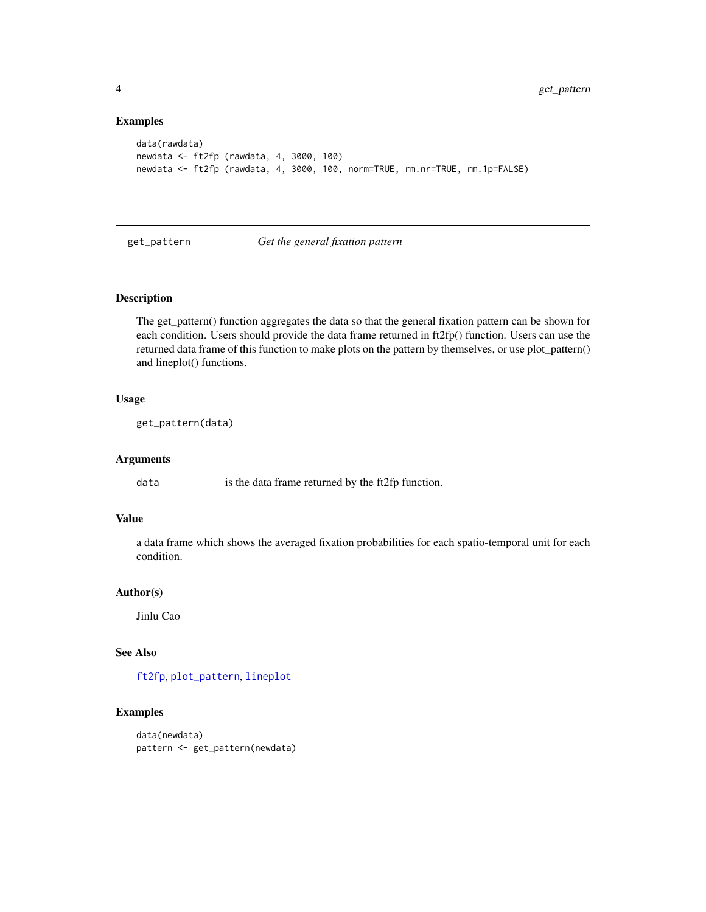### Examples

```
data(rawdata)
newdata <- ft2fp (rawdata, 4, 3000, 100)
newdata <- ft2fp (rawdata, 4, 3000, 100, norm=TRUE, rm.nr=TRUE, rm.1p=FALSE)
```
<span id="page-3-1"></span>get\_pattern *Get the general fixation pattern*

# Description

The get\_pattern() function aggregates the data so that the general fixation pattern can be shown for each condition. Users should provide the data frame returned in ft2fp() function. Users can use the returned data frame of this function to make plots on the pattern by themselves, or use plot\_pattern() and lineplot() functions.

# Usage

```
get_pattern(data)
```
#### Arguments

data is the data frame returned by the ft2fp function.

# Value

a data frame which shows the averaged fixation probabilities for each spatio-temporal unit for each condition.

#### Author(s)

Jinlu Cao

# See Also

[ft2fp](#page-2-1), [plot\\_pattern](#page-6-1), [lineplot](#page-4-1)

```
data(newdata)
pattern <- get_pattern(newdata)
```
<span id="page-3-0"></span>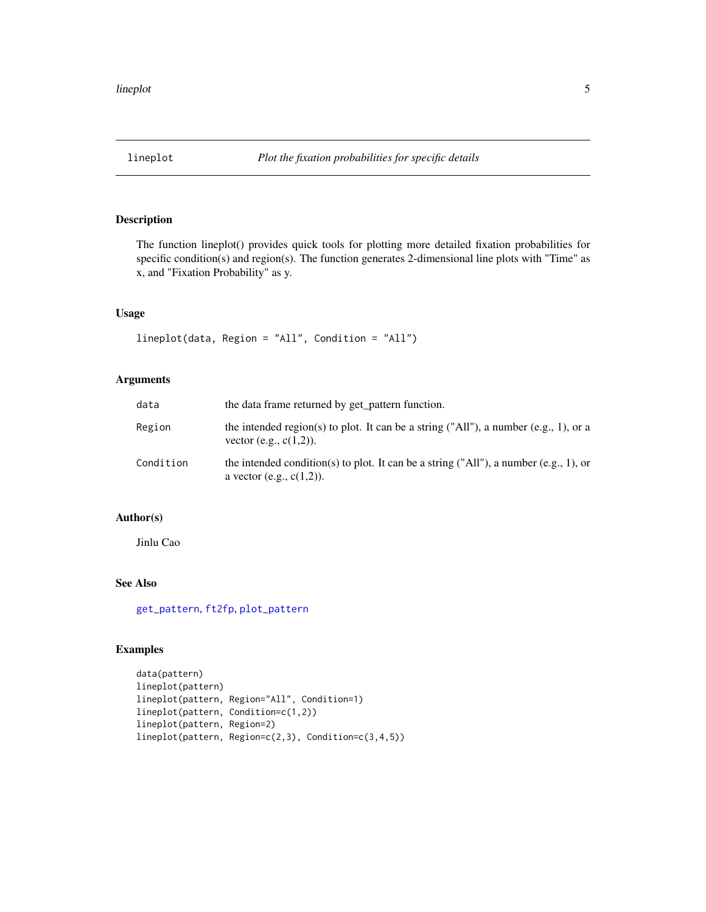<span id="page-4-1"></span><span id="page-4-0"></span>

The function lineplot() provides quick tools for plotting more detailed fixation probabilities for specific condition(s) and region(s). The function generates 2-dimensional line plots with "Time" as x, and "Fixation Probability" as y.

#### Usage

```
lineplot(data, Region = "All", Condition = "All")
```
# Arguments

| data      | the data frame returned by get_pattern function.                                                                     |
|-----------|----------------------------------------------------------------------------------------------------------------------|
| Region    | the intended region(s) to plot. It can be a string ("All"), a number (e.g., 1), or a<br>vector (e.g., $c(1,2)$ ).    |
| Condition | the intended condition(s) to plot. It can be a string ("All"), a number (e.g., 1), or<br>a vector (e.g., $c(1,2)$ ). |

# Author(s)

Jinlu Cao

# See Also

[get\\_pattern](#page-3-1), [ft2fp](#page-2-1), [plot\\_pattern](#page-6-1)

```
data(pattern)
lineplot(pattern)
lineplot(pattern, Region="All", Condition=1)
lineplot(pattern, Condition=c(1,2))
lineplot(pattern, Region=2)
lineplot(pattern, Region=c(2,3), Condition=c(3,4,5))
```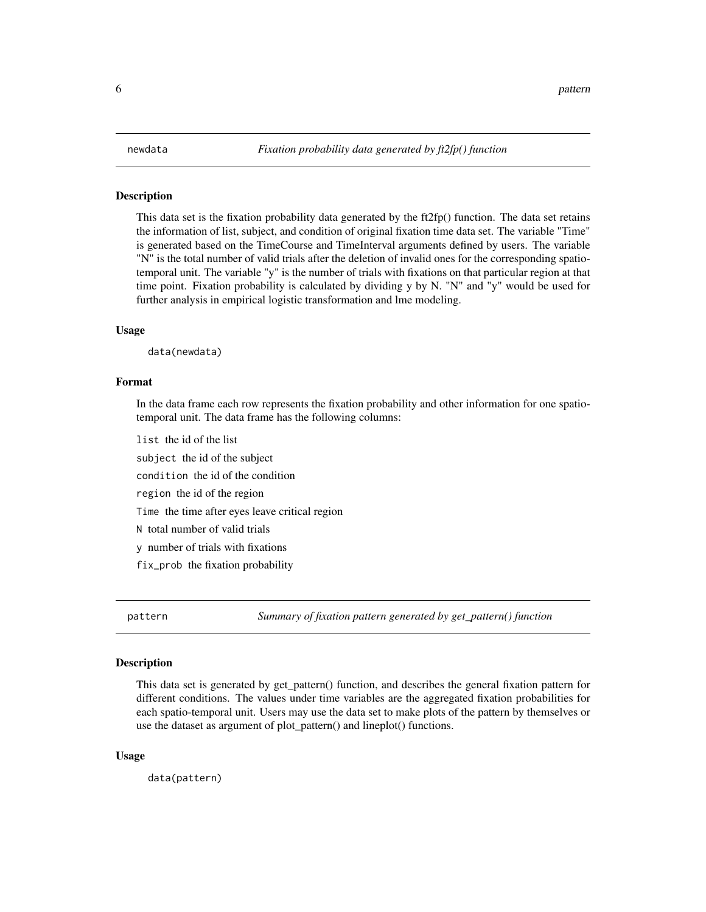<span id="page-5-0"></span>This data set is the fixation probability data generated by the ft2fp() function. The data set retains the information of list, subject, and condition of original fixation time data set. The variable "Time" is generated based on the TimeCourse and TimeInterval arguments defined by users. The variable "N" is the total number of valid trials after the deletion of invalid ones for the corresponding spatiotemporal unit. The variable "y" is the number of trials with fixations on that particular region at that time point. Fixation probability is calculated by dividing y by N. "N" and "y" would be used for further analysis in empirical logistic transformation and lme modeling.

#### Usage

data(newdata)

#### Format

In the data frame each row represents the fixation probability and other information for one spatiotemporal unit. The data frame has the following columns:

list the id of the list

subject the id of the subject

condition the id of the condition

region the id of the region

Time the time after eyes leave critical region

N total number of valid trials

y number of trials with fixations

fix\_prob the fixation probability

pattern *Summary of fixation pattern generated by get\_pattern() function*

#### Description

This data set is generated by get\_pattern() function, and describes the general fixation pattern for different conditions. The values under time variables are the aggregated fixation probabilities for each spatio-temporal unit. Users may use the data set to make plots of the pattern by themselves or use the dataset as argument of plot\_pattern() and lineplot() functions.

#### Usage

data(pattern)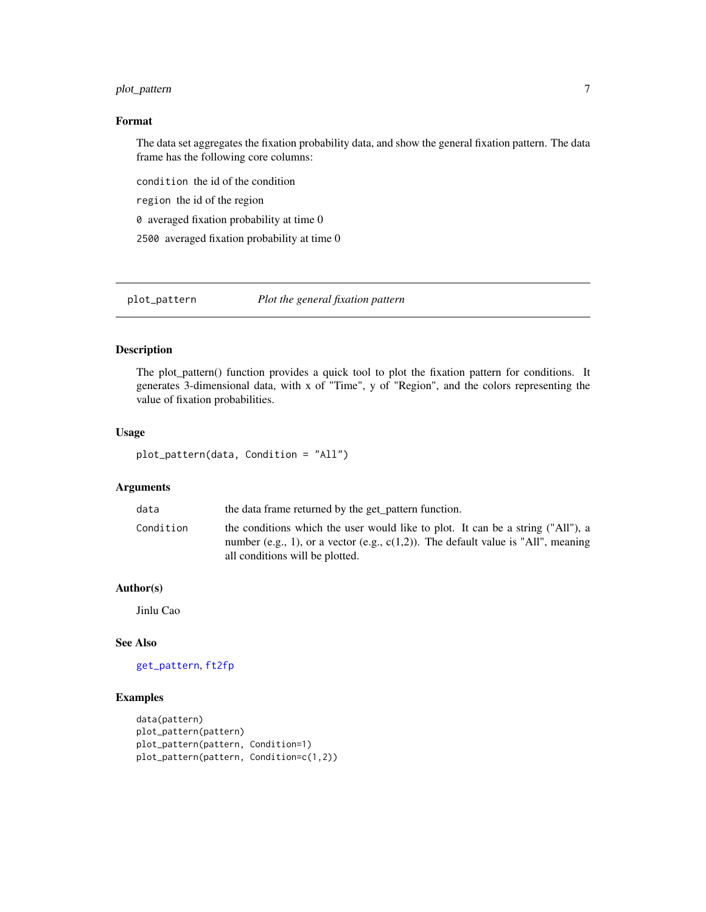# <span id="page-6-0"></span>plot\_pattern 7

### Format

The data set aggregates the fixation probability data, and show the general fixation pattern. The data frame has the following core columns:

condition the id of the condition

region the id of the region

0 averaged fixation probability at time 0

2500 averaged fixation probability at time 0

<span id="page-6-1"></span>plot\_pattern *Plot the general fixation pattern*

# Description

The plot\_pattern() function provides a quick tool to plot the fixation pattern for conditions. It generates 3-dimensional data, with x of "Time", y of "Region", and the colors representing the value of fixation probabilities.

#### Usage

plot\_pattern(data, Condition = "All")

# Arguments

| data      | the data frame returned by the get_pattern function.                                                                                                                                                       |
|-----------|------------------------------------------------------------------------------------------------------------------------------------------------------------------------------------------------------------|
| Condition | the conditions which the user would like to plot. It can be a string ("All"), a<br>number (e.g., 1), or a vector (e.g., $c(1,2)$ ). The default value is "All", meaning<br>all conditions will be plotted. |

# Author(s)

Jinlu Cao

# See Also

[get\\_pattern](#page-3-1), [ft2fp](#page-2-1)

```
data(pattern)
plot_pattern(pattern)
plot_pattern(pattern, Condition=1)
plot_pattern(pattern, Condition=c(1,2))
```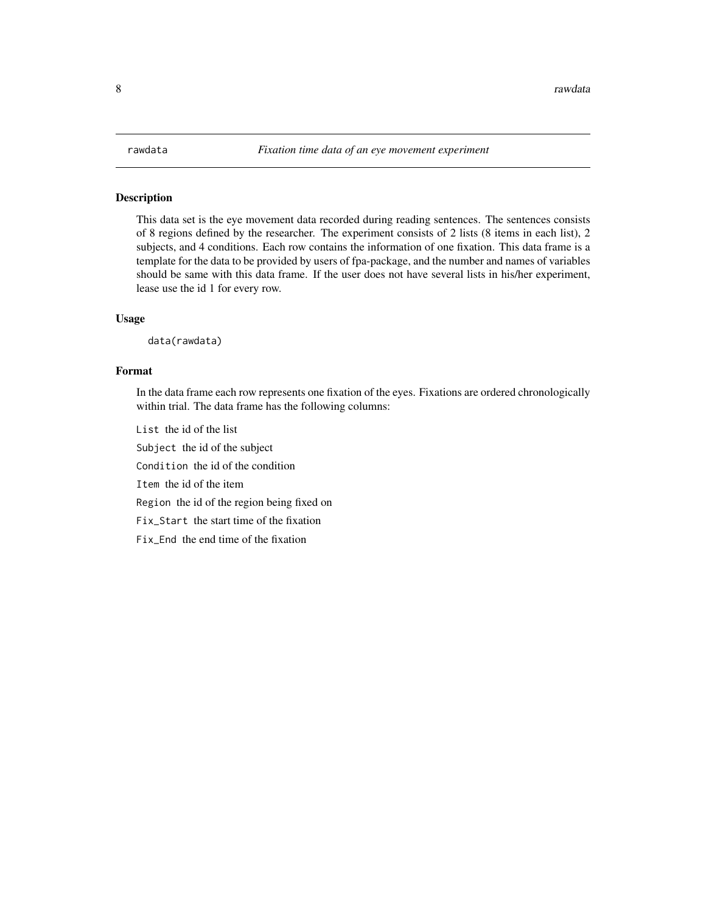<span id="page-7-0"></span>This data set is the eye movement data recorded during reading sentences. The sentences consists of 8 regions defined by the researcher. The experiment consists of 2 lists (8 items in each list), 2 subjects, and 4 conditions. Each row contains the information of one fixation. This data frame is a template for the data to be provided by users of fpa-package, and the number and names of variables should be same with this data frame. If the user does not have several lists in his/her experiment, lease use the id 1 for every row.

#### Usage

data(rawdata)

#### Format

In the data frame each row represents one fixation of the eyes. Fixations are ordered chronologically within trial. The data frame has the following columns:

List the id of the list

Subject the id of the subject

Condition the id of the condition

Item the id of the item

Region the id of the region being fixed on

Fix\_Start the start time of the fixation

Fix\_End the end time of the fixation